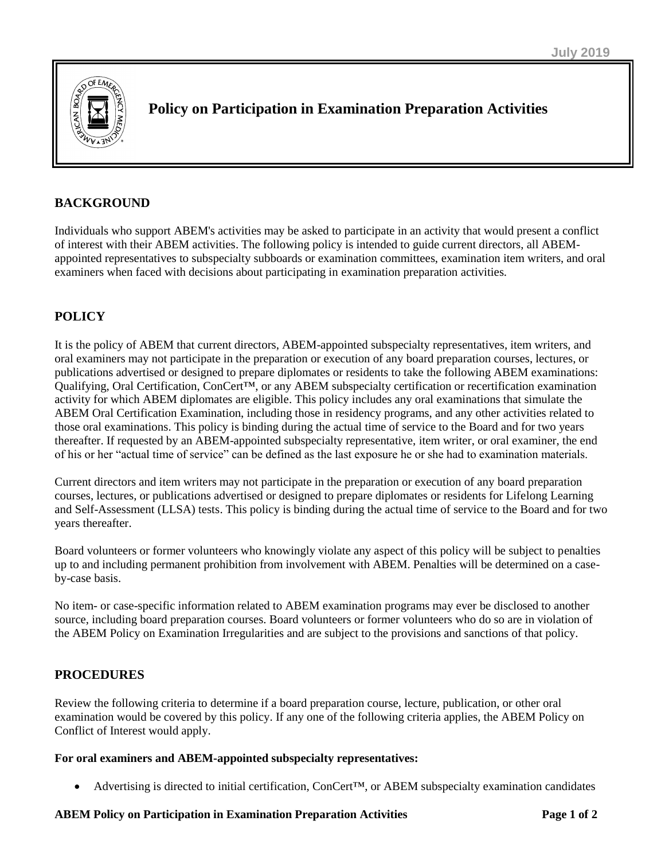

# **Policy on Participation in Examination Preparation Activities**

# **BACKGROUND**

Individuals who support ABEM's activities may be asked to participate in an activity that would present a conflict of interest with their ABEM activities. The following policy is intended to guide current directors, all ABEMappointed representatives to subspecialty subboards or examination committees, examination item writers, and oral examiners when faced with decisions about participating in examination preparation activities.

# **POLICY**

It is the policy of ABEM that current directors, ABEM-appointed subspecialty representatives, item writers, and oral examiners may not participate in the preparation or execution of any board preparation courses, lectures, or publications advertised or designed to prepare diplomates or residents to take the following ABEM examinations: Qualifying, Oral Certification, ConCert™, or any ABEM subspecialty certification or recertification examination activity for which ABEM diplomates are eligible. This policy includes any oral examinations that simulate the ABEM Oral Certification Examination, including those in residency programs, and any other activities related to those oral examinations. This policy is binding during the actual time of service to the Board and for two years thereafter. If requested by an ABEM-appointed subspecialty representative, item writer, or oral examiner, the end of his or her "actual time of service" can be defined as the last exposure he or she had to examination materials.

Current directors and item writers may not participate in the preparation or execution of any board preparation courses, lectures, or publications advertised or designed to prepare diplomates or residents for Lifelong Learning and Self-Assessment (LLSA) tests. This policy is binding during the actual time of service to the Board and for two years thereafter.

Board volunteers or former volunteers who knowingly violate any aspect of this policy will be subject to penalties up to and including permanent prohibition from involvement with ABEM. Penalties will be determined on a caseby-case basis.

No item- or case-specific information related to ABEM examination programs may ever be disclosed to another source, including board preparation courses. Board volunteers or former volunteers who do so are in violation of the ABEM Policy on Examination Irregularities and are subject to the provisions and sanctions of that policy.

# **PROCEDURES**

Review the following criteria to determine if a board preparation course, lecture, publication, or other oral examination would be covered by this policy. If any one of the following criteria applies, the ABEM Policy on Conflict of Interest would apply.

### **For oral examiners and ABEM-appointed subspecialty representatives:**

• Advertising is directed to initial certification, ConCert™, or ABEM subspecialty examination candidates

#### **ABEM Policy on Participation in Examination Preparation Activities Page 1 of 2**